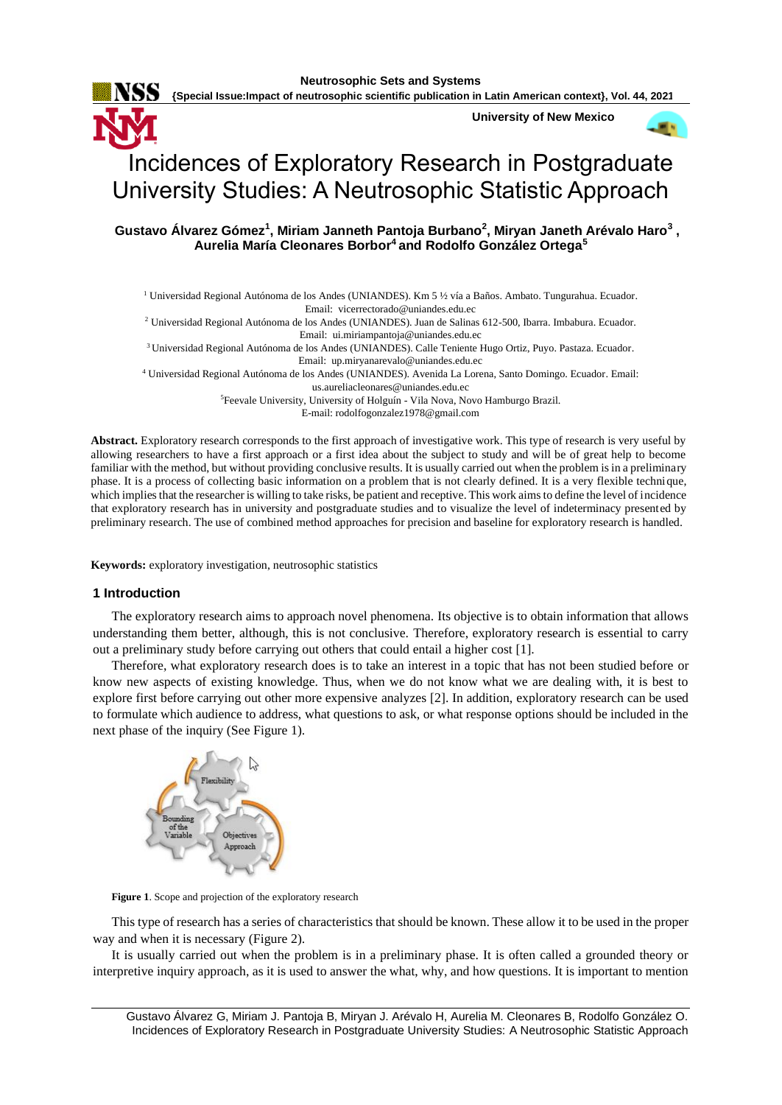

**{Special Issue:Impact of neutrosophic scientific publication in Latin American context}, Vol. 44, 2021** 115

**University of New Mexico**



# Incidences of Exploratory Research in Postgraduate University Studies: A Neutrosophic Statistic Approach

# **Gustavo Álvarez Gómez<sup>1</sup> , Miriam Janneth Pantoja Burbano<sup>2</sup> , Miryan Janeth Arévalo Haro<sup>3</sup> , Aurelia María Cleonares Borbor<sup>4</sup>and Rodolfo González Ortega<sup>5</sup>**

<sup>1</sup> Universidad Regional Autónoma de los Andes (UNIANDES). Km 5 ½ vía a Baños. Ambato. Tungurahua. Ecuador. Email: [vicerrectorado@uniandes.edu.ec](mailto:vicerrectorado@uniandes.edu.ec) <sup>2</sup> Universidad Regional Autónoma de los Andes (UNIANDES). Juan de Salinas 612-500, Ibarra. Imbabura. Ecuador. Email: [ui.miriampantoja@uniandes.edu.ec](mailto:ui.miriampantoja@uniandes.edu.ec)

<sup>3</sup>Universidad Regional Autónoma de los Andes (UNIANDES). Calle Teniente Hugo Ortiz, Puyo. Pastaza. Ecuador.

Email: [up.miryanarevalo@uniandes.edu.ec](mailto:up.miryanarevalo@uniandes.edu.ec)

<sup>4</sup> Universidad Regional Autónoma de los Andes (UNIANDES). Avenida La Lorena, Santo Domingo. Ecuador. Email:

[us.aureliacleonares@uniandes.edu.ec](mailto:us.aureliacleonares@uniandes.edu.ec)

<sup>5</sup>Feevale University, University of Holguín - Vila Nova, Novo Hamburgo Brazil.

E-mail: [rodolfogonzalez1978@gmail.com](mailto:rodolfogonzalez1978@gmail.com)

**Abstract.** Exploratory research corresponds to the first approach of investigative work. This type of research is very useful by allowing researchers to have a first approach or a first idea about the subject to study and will be of great help to become familiar with the method, but without providing conclusive results. It is usually carried out when the problem is in a preliminary phase. It is a process of collecting basic information on a problem that is not clearly defined. It is a very flexible technique, which implies that the researcher is willing to take risks, be patient and receptive. This work aims to define the level of incidence that exploratory research has in university and postgraduate studies and to visualize the level of indeterminacy presented by preliminary research. The use of combined method approaches for precision and baseline for exploratory research is handled.

**Keywords:** exploratory investigation, neutrosophic statistics

# **1 Introduction**

The exploratory research aims to approach novel phenomena. Its objective is to obtain information that allows understanding them better, although, this is not conclusive. Therefore, exploratory research is essential to carry out a preliminary study before carrying out others that could entail a higher cost [\[1\]](#page-7-0).

Therefore, what exploratory research does is to take an interest in a topic that has not been studied before or know new aspects of existing knowledge. Thus, when we do not know what we are dealing with, it is best to explore first before carrying out other more expensive analyzes [\[2\]](#page-7-1). In addition, exploratory research can be used to formulate which audience to address, what questions to ask, or what response options should be included in the next phase of the inquiry (See Figure 1).



**Figure 1**. Scope and projection of the exploratory research

This type of research has a series of characteristics that should be known. These allow it to be used in the proper way and when it is necessary (Figure 2).

It is usually carried out when the problem is in a preliminary phase. It is often called a grounded theory or interpretive inquiry approach, as it is used to answer the what, why, and how questions. It is important to mention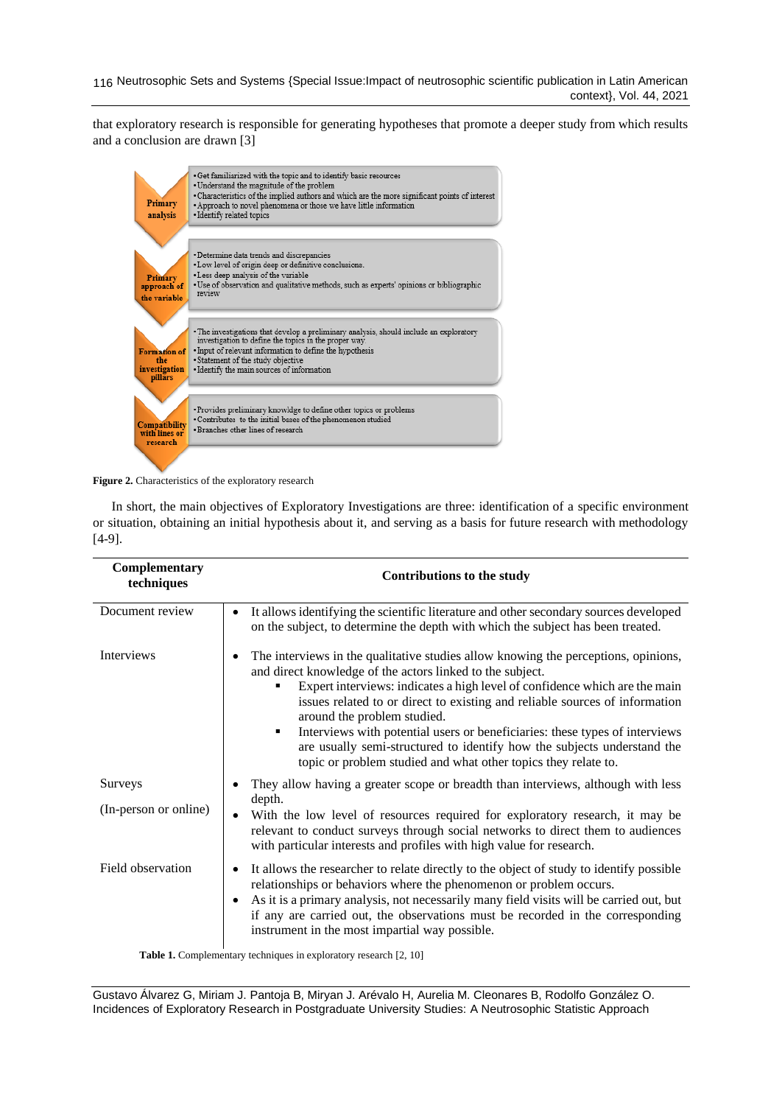116 Neutrosophic Sets and Systems {Special Issue: Impact of neutrosophic scientific publication in Latin American context}, Vol. 44, 2021

that exploratory research is responsible for generating hypotheses that promote a deeper study from which results and a conclusion are drawn [\[3\]](#page-7-2)



**Figure 2.** Characteristics of the exploratory research

In short, the main objectives of Exploratory Investigations are three: identification of a specific environment or situation, obtaining an initial hypothesis about it, and serving as a basis for future research with methodology [\[4-9\]](#page-7-3).

| Complementary<br>techniques      | <b>Contributions to the study</b>                                                                                                                                                                                                                                                                                                                                                                                                                                                                                                                                            |
|----------------------------------|------------------------------------------------------------------------------------------------------------------------------------------------------------------------------------------------------------------------------------------------------------------------------------------------------------------------------------------------------------------------------------------------------------------------------------------------------------------------------------------------------------------------------------------------------------------------------|
| Document review                  | It allows identifying the scientific literature and other secondary sources developed<br>$\bullet$<br>on the subject, to determine the depth with which the subject has been treated.                                                                                                                                                                                                                                                                                                                                                                                        |
| Interviews                       | The interviews in the qualitative studies allow knowing the perceptions, opinions,<br>and direct knowledge of the actors linked to the subject.<br>Expert interviews: indicates a high level of confidence which are the main<br>issues related to or direct to existing and reliable sources of information<br>around the problem studied.<br>Interviews with potential users or beneficiaries: these types of interviews<br>٠<br>are usually semi-structured to identify how the subjects understand the<br>topic or problem studied and what other topics they relate to. |
| Surveys<br>(In-person or online) | They allow having a greater scope or breadth than interviews, although with less<br>depth.<br>With the low level of resources required for exploratory research, it may be<br>relevant to conduct surveys through social networks to direct them to audiences<br>with particular interests and profiles with high value for research.                                                                                                                                                                                                                                        |
| Field observation                | It allows the researcher to relate directly to the object of study to identify possible<br>relationships or behaviors where the phenomenon or problem occurs.<br>As it is a primary analysis, not necessarily many field visits will be carried out, but<br>if any are carried out, the observations must be recorded in the corresponding<br>instrument in the most impartial way possible.                                                                                                                                                                                 |

**Table 1.** Complementary techniques in exploratory research [\[2,](#page-7-1) [10\]](#page-7-4)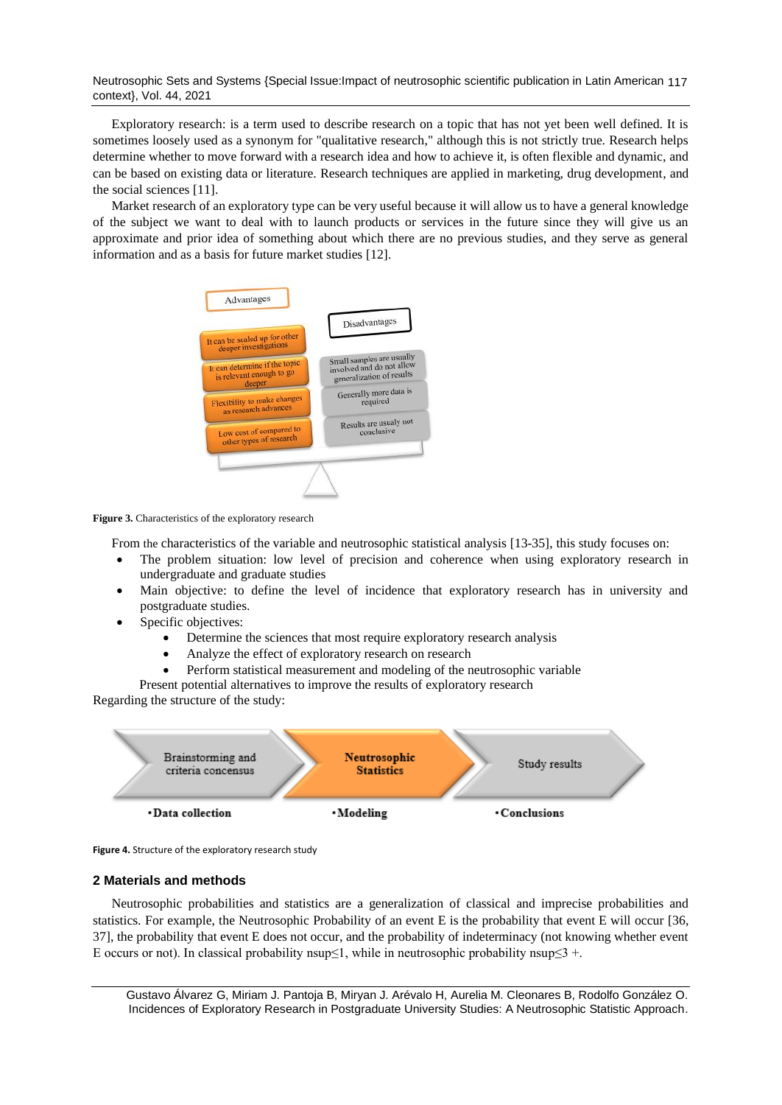Neutrosophic Sets and Systems {Special Issue:Impact of neutrosophic scientific publication in Latin American 117 context}, Vol. 44, 2021

Exploratory research: is a term used to describe research on a topic that has not yet been well defined. It is sometimes loosely used as a synonym for "qualitative research," although this is not strictly true. Research helps determine whether to move forward with a research idea and how to achieve it, is often flexible and dynamic, and can be based on existing data or literature. Research techniques are applied in marketing, drug development, and the social sciences [\[11\]](#page-7-5).

Market research of an exploratory type can be very useful because it will allow us to have a general knowledge of the subject we want to deal with to launch products or services in the future since they will give us an approximate and prior idea of something about which there are no previous studies, and they serve as general information and as a basis for future market studies [\[12\]](#page-7-6).



Figure 3. Characteristics of the exploratory research

From the characteristics of the variable and neutrosophic statistical analysis [\[13-35\]](#page-7-7), this study focuses on:

- The problem situation: low level of precision and coherence when using exploratory research in undergraduate and graduate studies
- Main objective: to define the level of incidence that exploratory research has in university and postgraduate studies.
- Specific objectives:
	- Determine the sciences that most require exploratory research analysis
	- Analyze the effect of exploratory research on research
	- Perform statistical measurement and modeling of the neutrosophic variable

Present potential alternatives to improve the results of exploratory research

Regarding the structure of the study:



**Figure 4.** Structure of the exploratory research study

## **2 Materials and methods**

Neutrosophic probabilities and statistics are a generalization of classical and imprecise probabilities and statistics. For example, the Neutrosophic Probability of an event E is the probability that event E will occur [\[36,](#page-8-0) [37\]](#page-8-1), the probability that event E does not occur, and the probability of indeterminacy (not knowing whether event E occurs or not). In classical probability nsup≤1, while in neutrosophic probability nsup≤3 +.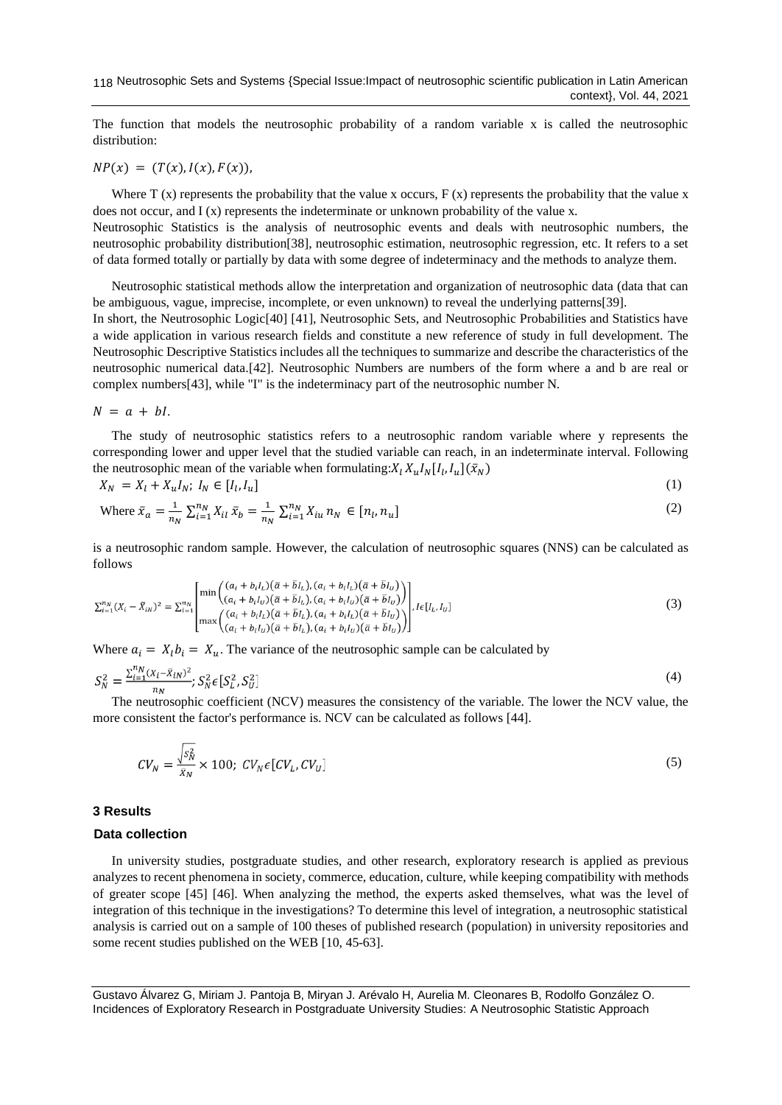The function that models the neutrosophic probability of a random variable x is called the neutrosophic distribution:

 $NP(x) = (T(x), I(x), F(x)),$ 

Where T  $(x)$  represents the probability that the value x occurs, F  $(x)$  represents the probability that the value x does not occur, and  $I(x)$  represents the indeterminate or unknown probability of the value x.

Neutrosophic Statistics is the analysis of neutrosophic events and deals with neutrosophic numbers, the neutrosophic probability distribution[\[38\]](#page-8-2), neutrosophic estimation, neutrosophic regression, etc. It refers to a set of data formed totally or partially by data with some degree of indeterminacy and the methods to analyze them.

Neutrosophic statistical methods allow the interpretation and organization of neutrosophic data (data that can be ambiguous, vague, imprecise, incomplete, or even unknown) to reveal the underlying patterns[\[39\]](#page-8-3).

In short, the Neutrosophic Logic[\[40\]](#page-8-4) [\[41\]](#page-8-5), Neutrosophic Sets, and Neutrosophic Probabilities and Statistics have a wide application in various research fields and constitute a new reference of study in full development. The Neutrosophic Descriptive Statistics includes all the techniques to summarize and describe the characteristics of the neutrosophic numerical data.[\[42\]](#page-8-6). Neutrosophic Numbers are numbers of the form where a and b are real or complex numbers[\[43\]](#page-8-7), while "I" is the indeterminacy part of the neutrosophic number N.

 $N = a + bl.$ 

The study of neutrosophic statistics refers to a neutrosophic random variable where y represents the corresponding lower and upper level that the studied variable can reach, in an indeterminate interval. Following the neutrosophic mean of the variable when formulating:  $X_l X_u I_N [I_l, I_u] (\bar{x}_N)$ 

$$
X_N = X_l + X_u I_N; I_N \in [I_l, I_u]
$$
\n
$$
(1)
$$

Where 
$$
\bar{x}_a = \frac{1}{n_N} \sum_{i=1}^{n_N} X_{il} \bar{x}_b = \frac{1}{n_N} \sum_{i=1}^{n_N} X_{iu} n_N \in [n_l, n_u]
$$
 (2)

is a neutrosophic random sample. However, the calculation of neutrosophic squares (NNS) can be calculated as follows

$$
\sum_{i=1}^{n_N} (X_i - \bar{X}_{iN})^2 = \sum_{i=1}^{n_N} \left[ \min \left( \frac{(a_i + b_i I_L)(\bar{a} + \bar{b} I_L), (a_i + b_i I_L)(\bar{a} + \bar{b} I_U)}{(a_i + b_i I_U)(\bar{a} + \bar{b} I_L), (a_i + b_i I_U)(\bar{a} + \bar{b} I_U)} \right) \right], I \in [I_L, I_U]
$$
\n
$$
\max \left( \frac{(a_i + b_i I_L)(\bar{a} + \bar{b} I_L), (a_i + b_i I_L)(\bar{a} + \bar{b} I_U)}{(a_i + b_i I_U)(\bar{a} + \bar{b} I_L), (a_i + b_i I_U)(\bar{a} + \bar{b} I_U)} \right) \right]
$$
\n
$$
(3)
$$

Where  $a_i = X_i b_i = X_u$ . The variance of the neutrosophic sample can be calculated by

$$
S_N^2 = \frac{\sum_{i=1}^{n_N} (x_i - \bar{x}_{iN})^2}{n_N}; S_N^2 \in [S_L^2, S_U^2]
$$
\n<sup>(4)</sup>

The neutrosophic coefficient (NCV) measures the consistency of the variable. The lower the NCV value, the more consistent the factor's performance is. NCV can be calculated as follows [\[44\]](#page-8-8).

$$
CV_N = \frac{\sqrt{s_N^2}}{\bar{x}_N} \times 100; \ CV_N \in [CV_L, CV_U]
$$
\n
$$
(5)
$$

### **3 Results**

# **Data collection**

In university studies, postgraduate studies, and other research, exploratory research is applied as previous analyzes to recent phenomena in society, commerce, education, culture, while keeping compatibility with methods of greater scope [\[45\]](#page-8-9) [\[46\]](#page-9-0). When analyzing the method, the experts asked themselves, what was the level of integration of this technique in the investigations? To determine this level of integration, a neutrosophic statistical analysis is carried out on a sample of 100 theses of published research (population) in university repositories and some recent studies published on the WEB [\[10,](#page-7-4) [45-63\]](#page-8-9).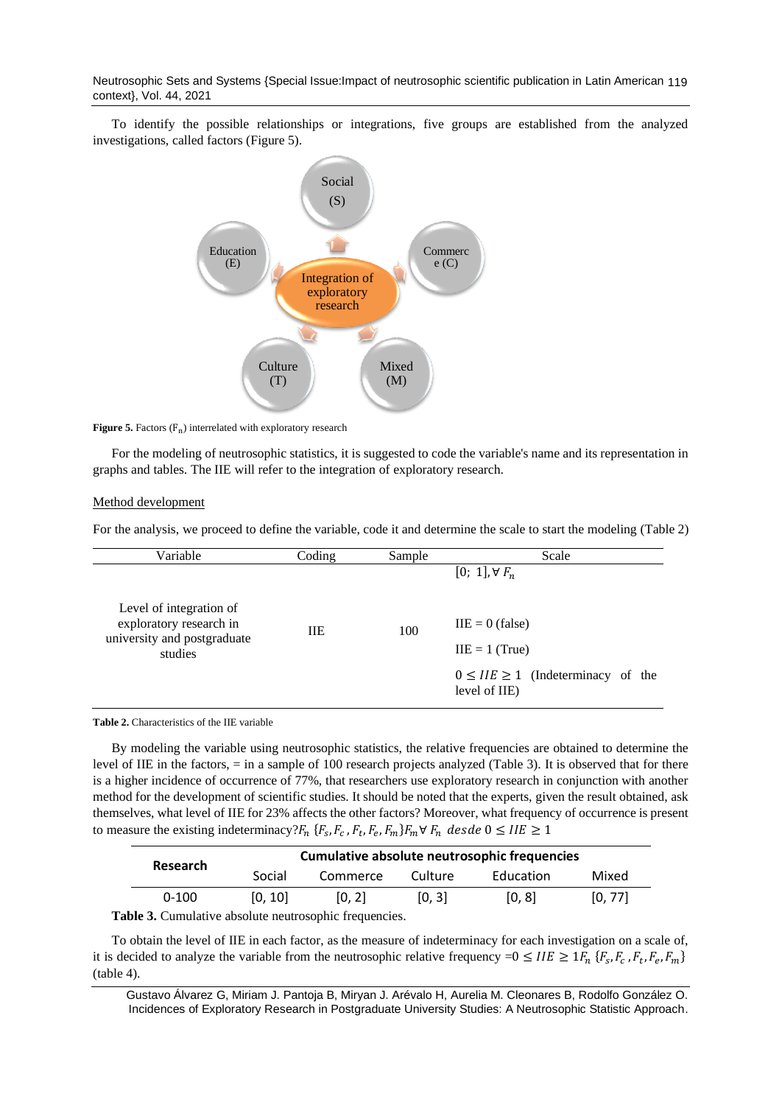Neutrosophic Sets and Systems {Special Issue:Impact of neutrosophic scientific publication in Latin American 119 context}, Vol. 44, 2021

To identify the possible relationships or integrations, five groups are established from the analyzed investigations, called factors (Figure 5).



**Figure 5.** Factors  $(F_n)$  interrelated with exploratory research

For the modeling of neutrosophic statistics, it is suggested to code the variable's name and its representation in graphs and tables. The IIE will refer to the integration of exploratory research.

#### Method development

For the analysis, we proceed to define the variable, code it and determine the scale to start the modeling (Table 2)

| Variable                                                                                     | Coding | Sample | Scale                                                                                               |
|----------------------------------------------------------------------------------------------|--------|--------|-----------------------------------------------------------------------------------------------------|
|                                                                                              |        |        | $[0; 1], \forall F_n$                                                                               |
| Level of integration of<br>exploratory research in<br>university and postgraduate<br>studies | HЕ     | 100    | $IIE = 0$ (false)<br>$IIE = 1$ (True)<br>$0 \leq IIE \geq 1$ (Indeterminacy of the<br>level of IIE) |

**Table 2.** Characteristics of the IIE variable

By modeling the variable using neutrosophic statistics, the relative frequencies are obtained to determine the level of IIE in the factors, = in a sample of 100 research projects analyzed (Table 3). It is observed that for there is a higher incidence of occurrence of 77%, that researchers use exploratory research in conjunction with another method for the development of scientific studies. It should be noted that the experts, given the result obtained, ask themselves, what level of IIE for 23% affects the other factors? Moreover, what frequency of occurrence is present to measure the existing indeterminacy?  $F_n$  { $F_s$ ,  $F_c$ ,  $F_t$ ,  $F_e$ ,  $F_m$ } $F_m \forall F_n$  desde  $0 \leq IIE \geq 1$ 

|                                                              |           | Cumulative absolute neutrosophic frequencies |          |         |           |         |
|--------------------------------------------------------------|-----------|----------------------------------------------|----------|---------|-----------|---------|
| Research                                                     |           | Social                                       | Commerce | Culture | Education | Mixed   |
|                                                              | $0 - 100$ | [0.10]                                       | [0, 2]   | [0, 3]  | [0, 8]    | [0, 77] |
| <b>Fable 3.</b> Cumulative absolute neutrosophic frequencies |           |                                              |          |         |           |         |

**Table 3.** Cumulative absolute neutrosophic frequencies.

To obtain the level of IIE in each factor, as the measure of indeterminacy for each investigation on a scale of, it is decided to analyze the variable from the neutrosophic relative frequency  $=0 \leq IIE \geq 1F_n \{F_s, F_c, F_t, F_e, F_m\}$ (table 4).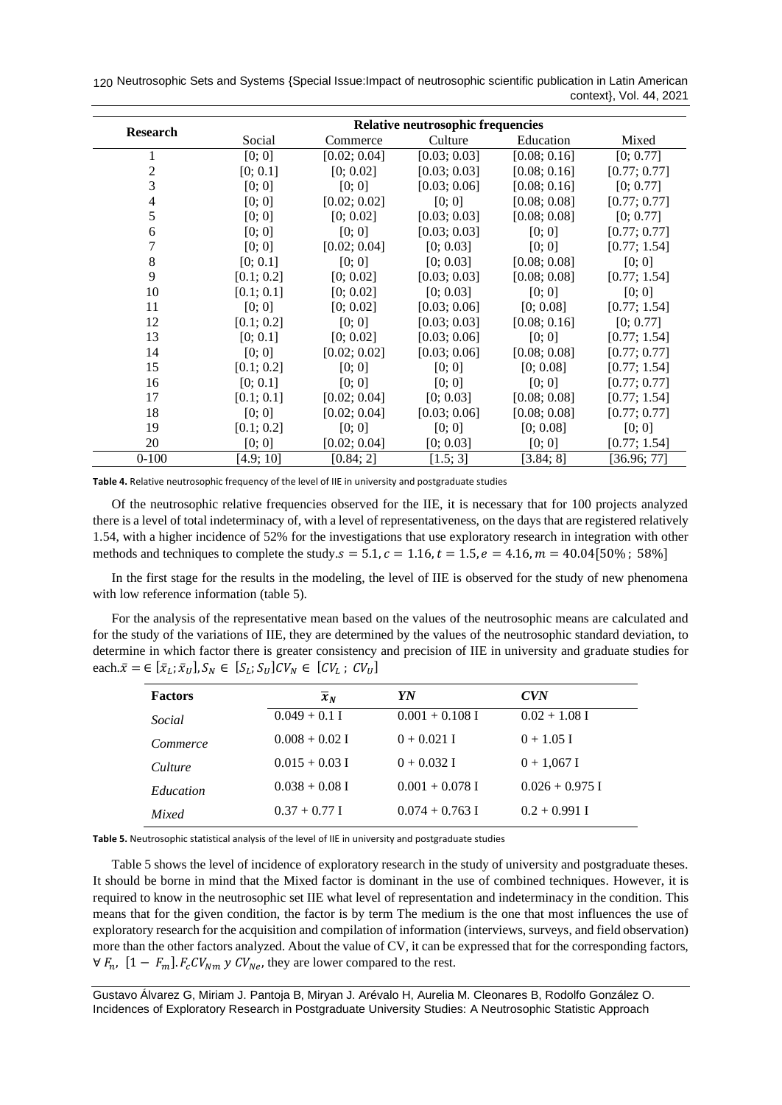120 Neutrosophic Sets and Systems {Special Issue: Impact of neutrosophic scientific publication in Latin American context}, Vol. 44, 2021

|                 | <b>Relative neutrosophic frequencies</b> |              |              |              |              |
|-----------------|------------------------------------------|--------------|--------------|--------------|--------------|
| <b>Research</b> | Social                                   | Commerce     | Culture      | Education    | Mixed        |
|                 | [0; 0]                                   | [0.02; 0.04] | [0.03; 0.03] | [0.08; 0.16] | [0; 0.77]    |
| 2               | [0; 0.1]                                 | [0; 0.02]    | [0.03; 0.03] | [0.08; 0.16] | [0.77; 0.77] |
| 3               | [0; 0]                                   | [0; 0]       | [0.03; 0.06] | [0.08; 0.16] | [0; 0.77]    |
| 4               | [0; 0]                                   | [0.02; 0.02] | [0; 0]       | [0.08; 0.08] | [0.77; 0.77] |
| 5               | [0; 0]                                   | [0; 0.02]    | [0.03; 0.03] | [0.08; 0.08] | [0; 0.77]    |
| 6               | [0; 0]                                   | [0; 0]       | [0.03; 0.03] | [0; 0]       | [0.77; 0.77] |
| 7               | [0; 0]                                   | [0.02; 0.04] | [0; 0.03]    | [0; 0]       | [0.77; 1.54] |
| 8               | [0; 0.1]                                 | [0; 0]       | [0; 0.03]    | [0.08; 0.08] | [0; 0]       |
| 9               | [0.1; 0.2]                               | [0; 0.02]    | [0.03; 0.03] | [0.08; 0.08] | [0.77; 1.54] |
| 10              | [0.1; 0.1]                               | [0; 0.02]    | [0; 0.03]    | [0; 0]       | [0; 0]       |
| 11              | [0; 0]                                   | [0; 0.02]    | [0.03; 0.06] | [0; 0.08]    | [0.77; 1.54] |
| 12              | [0.1; 0.2]                               | [0; 0]       | [0.03; 0.03] | [0.08; 0.16] | [0; 0.77]    |
| 13              | [0; 0.1]                                 | [0; 0.02]    | [0.03; 0.06] | [0; 0]       | [0.77; 1.54] |
| 14              | [0; 0]                                   | [0.02; 0.02] | [0.03; 0.06] | [0.08; 0.08] | [0.77; 0.77] |
| 15              | [0.1; 0.2]                               | [0; 0]       | [0; 0]       | [0; 0.08]    | [0.77; 1.54] |
| 16              | [0; 0.1]                                 | [0; 0]       | [0; 0]       | [0; 0]       | [0.77; 0.77] |
| 17              | [0.1; 0.1]                               | [0.02; 0.04] | [0; 0.03]    | [0.08; 0.08] | [0.77; 1.54] |
| 18              | [0; 0]                                   | [0.02; 0.04] | [0.03; 0.06] | [0.08; 0.08] | [0.77; 0.77] |
| 19              | [0.1; 0.2]                               | [0; 0]       | [0; 0]       | [0; 0.08]    | [0; 0]       |
| 20              | [0; 0]                                   | [0.02; 0.04] | [0; 0.03]    | [0; 0]       | [0.77; 1.54] |
| $0 - 100$       | [4.9; 10]                                | [0.84; 2]    | [1.5; 3]     | [3.84; 8]    | [36.96; 77]  |

**Table 4.** Relative neutrosophic frequency of the level of IIE in university and postgraduate studies

Of the neutrosophic relative frequencies observed for the IIE, it is necessary that for 100 projects analyzed there is a level of total indeterminacy of, with a level of representativeness, on the days that are registered relatively 1.54, with a higher incidence of 52% for the investigations that use exploratory research in integration with other methods and techniques to complete the study.  $s = 5.1$ ,  $c = 1.16$ ,  $t = 1.5$ ,  $e = 4.16$ ,  $m = 40.04$ [50%; 58%]

In the first stage for the results in the modeling, the level of IIE is observed for the study of new phenomena with low reference information (table 5).

For the analysis of the representative mean based on the values of the neutrosophic means are calculated and for the study of the variations of IIE, they are determined by the values of the neutrosophic standard deviation, to determine in which factor there is greater consistency and precision of IIE in university and graduate studies for each. $\bar{x} = \in [\bar{x}_L; \bar{x}_U], S_N \in [S_L; S_U]$ C $V_N \in [CV_L; CV_U]$ 

| <b>Factors</b> | $\overline{x}_N$ | YN                | <b>CVN</b>        |
|----------------|------------------|-------------------|-------------------|
| Social         | $0.049 + 0.1$ I  | $0.001 + 0.108$ I | $0.02 + 1.08$ I   |
| Commerce       | $0.008 + 0.02$ I | $0 + 0.021$ I     | $0 + 1.05$ I      |
| Culture        | $0.015 + 0.03$ I | $0 + 0.032$ I     | $0 + 1,067$ I     |
| Education      | $0.038 + 0.08$ I | $0.001 + 0.078$ I | $0.026 + 0.975$ I |
| Mixed          | $0.37 + 0.77$ I  | $0.074 + 0.763$ I | $0.2 + 0.991$ I   |

**Table 5.** Neutrosophic statistical analysis of the level of IIE in university and postgraduate studies

Table 5 shows the level of incidence of exploratory research in the study of university and postgraduate theses. It should be borne in mind that the Mixed factor is dominant in the use of combined techniques. However, it is required to know in the neutrosophic set IIE what level of representation and indeterminacy in the condition. This means that for the given condition, the factor is by term The medium is the one that most influences the use of exploratory research for the acquisition and compilation of information (interviews, surveys, and field observation) more than the other factors analyzed. About the value of CV, it can be expressed that for the corresponding factors,  $\forall F_n$ ,  $[1 - F_m]$ .  $F_cCV_{Nm}$   $\forall CV_{Ne}$ , they are lower compared to the rest.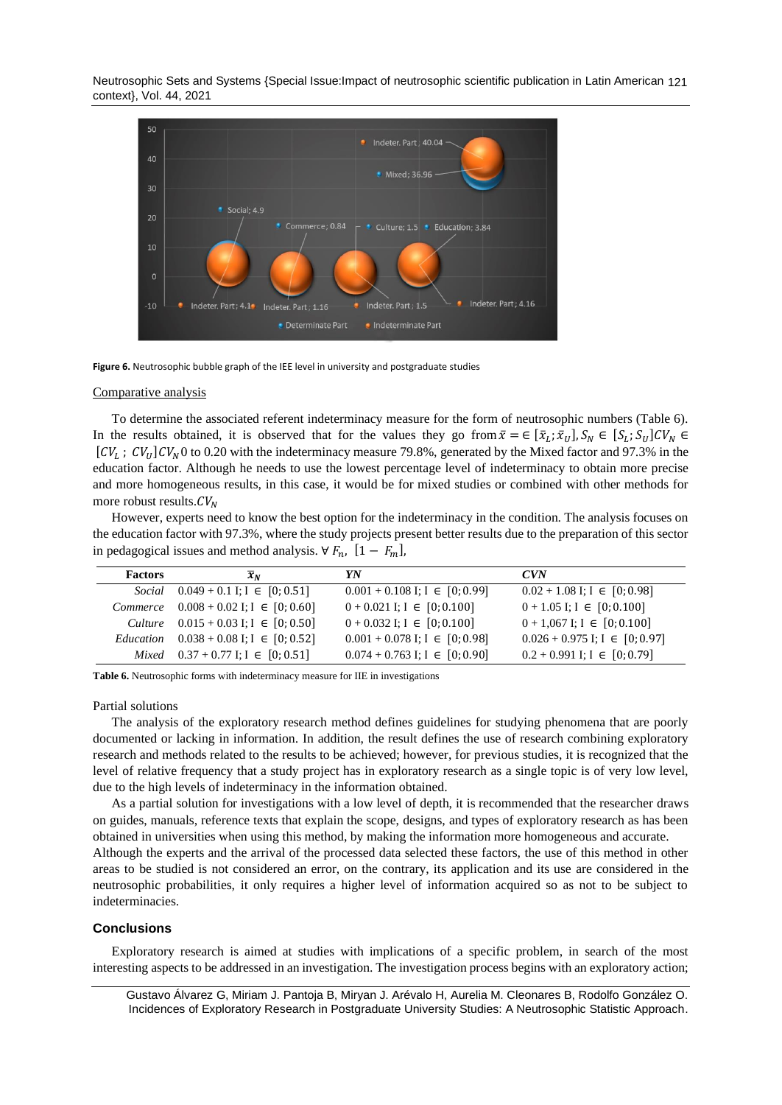Neutrosophic Sets and Systems {Special Issue:Impact of neutrosophic scientific publication in Latin American 121 context}, Vol. 44, 2021



**Figure 6.** Neutrosophic bubble graph of the IEE level in university and postgraduate studies

#### Comparative analysis

To determine the associated referent indeterminacy measure for the form of neutrosophic numbers (Table 6). In the results obtained, it is observed that for the values they go from  $\bar{x} = \in [\bar{x}_L; \bar{x}_U], S_N \in [S_L; S_U]CV_N \in$  $[CV_L; CV_U]CV_N$  to 0.20 with the indeterminacy measure 79.8%, generated by the Mixed factor and 97.3% in the education factor. Although he needs to use the lowest percentage level of indeterminacy to obtain more precise and more homogeneous results, in this case, it would be for mixed studies or combined with other methods for more robust results.  $CV<sub>N</sub>$ 

However, experts need to know the best option for the indeterminacy in the condition. The analysis focuses on the education factor with 97.3%, where the study projects present better results due to the preparation of this sector in pedagogical issues and method analysis.  $\forall F_n$ ,  $[1 - F_m]$ ,

| <b>Factors</b> | $\overline{x}_N$                                           | YN                                   | CVN                                  |
|----------------|------------------------------------------------------------|--------------------------------------|--------------------------------------|
|                | Social $0.049 + 0.1$ I; I $\in [0, 0.51]$                  | $0.001 + 0.108$ I; I $\in [0, 0.99]$ | $0.02 + 1.08$ I; I $\in [0, 0.98]$   |
|                | Commerce $0.008 + 0.02$ I; I $\in [0, 0.60]$               | $0 + 0.021$ I; I $\in [0, 0.100]$    | $0 + 1.05$ I; I $\in [0, 0.100]$     |
|                | Culture $0.015 + 0.03$ I; I $\in [0, 0.50]$                | $0 + 0.032$ I; I $\in [0, 0.100]$    | $0 + 1,067$ I; $I \in [0, 0.100]$    |
|                | <i>Education</i> $0.038 + 0.08$ I; I $\in [0, 0.52]$       | $0.001 + 0.078$ I; I $\in [0, 0.98]$ | $0.026 + 0.975$ I; I $\in [0, 0.97]$ |
|                | $Mixed \quad 0.37 + 0.77 \text{ I}; \quad 1 \in [0; 0.51]$ | $0.074 + 0.763$ I; I $\in [0, 0.90]$ | $0.2 + 0.991$ I; I $\in [0, 0.79]$   |

**Table 6.** Neutrosophic forms with indeterminacy measure for IIE in investigations

#### Partial solutions

The analysis of the exploratory research method defines guidelines for studying phenomena that are poorly documented or lacking in information. In addition, the result defines the use of research combining exploratory research and methods related to the results to be achieved; however, for previous studies, it is recognized that the level of relative frequency that a study project has in exploratory research as a single topic is of very low level, due to the high levels of indeterminacy in the information obtained.

As a partial solution for investigations with a low level of depth, it is recommended that the researcher draws on guides, manuals, reference texts that explain the scope, designs, and types of exploratory research as has been obtained in universities when using this method, by making the information more homogeneous and accurate. Although the experts and the arrival of the processed data selected these factors, the use of this method in other areas to be studied is not considered an error, on the contrary, its application and its use are considered in the neutrosophic probabilities, it only requires a higher level of information acquired so as not to be subject to indeterminacies.

#### **Conclusions**

Exploratory research is aimed at studies with implications of a specific problem, in search of the most interesting aspects to be addressed in an investigation. The investigation process begins with an exploratory action;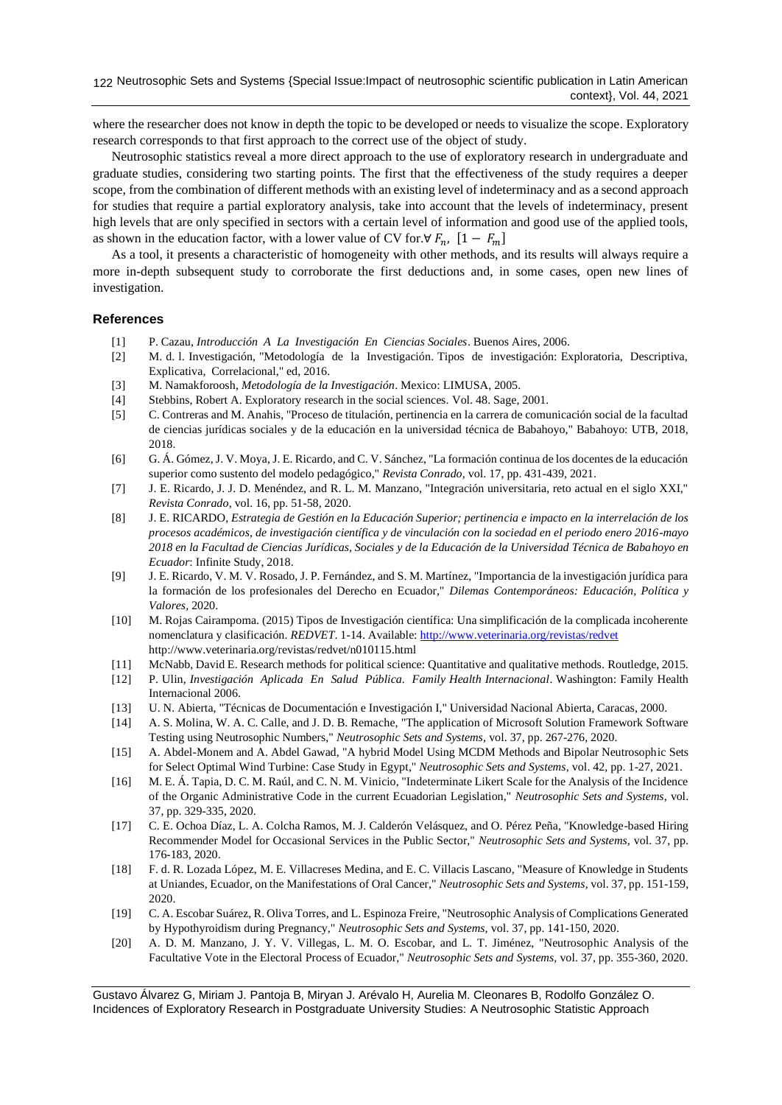where the researcher does not know in depth the topic to be developed or needs to visualize the scope. Exploratory research corresponds to that first approach to the correct use of the object of study.

Neutrosophic statistics reveal a more direct approach to the use of exploratory research in undergraduate and graduate studies, considering two starting points. The first that the effectiveness of the study requires a deeper scope, from the combination of different methods with an existing level of indeterminacy and as a second approach for studies that require a partial exploratory analysis, take into account that the levels of indeterminacy, present high levels that are only specified in sectors with a certain level of information and good use of the applied tools, as shown in the education factor, with a lower value of CV for.∀  $F_n$ ,  $[1 - F_m]$ 

As a tool, it presents a characteristic of homogeneity with other methods, and its results will always require a more in-depth subsequent study to corroborate the first deductions and, in some cases, open new lines of investigation.

#### **References**

- <span id="page-7-0"></span>[1] P. Cazau, *Introducción A La Investigación En Ciencias Sociales*. Buenos Aires, 2006.
- <span id="page-7-1"></span>[2] M. d. l. Investigación, "Metodología de la Investigación. Tipos de investigación: Exploratoria, Descriptiva, Explicativa, Correlacional," ed, 2016.
- <span id="page-7-2"></span>[3] M. Namakforoosh, *Metodología de la Investigación*. Mexico: LIMUSA, 2005.
- <span id="page-7-3"></span>[4] Stebbins, Robert A. Exploratory research in the social sciences. Vol. 48. Sage, 2001.
- [5] C. Contreras and M. Anahis, "Proceso de titulación, pertinencia en la carrera de comunicación social de la facultad de ciencias jurídicas sociales y de la educación en la universidad técnica de Babahoyo," Babahoyo: UTB, 2018, 2018.
- [6] G. Á. Gómez, J. V. Moya, J. E. Ricardo, and C. V. Sánchez, "La formación continua de los docentes de la educación superior como sustento del modelo pedagógico," *Revista Conrado,* vol. 17, pp. 431-439, 2021.
- [7] J. E. Ricardo, J. J. D. Menéndez, and R. L. M. Manzano, "Integración universitaria, reto actual en el siglo XXI," *Revista Conrado,* vol. 16, pp. 51-58, 2020.
- [8] J. E. RICARDO, *Estrategia de Gestión en la Educación Superior; pertinencia e impacto en la interrelación de los procesos académicos, de investigación científica y de vinculación con la sociedad en el periodo enero 2016-mayo 2018 en la Facultad de Ciencias Jurídicas, Sociales y de la Educación de la Universidad Técnica de Babahoyo en Ecuador*: Infinite Study, 2018.
- [9] J. E. Ricardo, V. M. V. Rosado, J. P. Fernández, and S. M. Martínez, "Importancia de la investigación jurídica para la formación de los profesionales del Derecho en Ecuador," *Dilemas Contemporáneos: Educación, Política y Valores,* 2020.
- <span id="page-7-4"></span>[10] M. Rojas Cairampoma. (2015) Tipos de Investigación científica: Una simplificación de la complicada incoherente nomenclatura y clasificación. *REDVET*. 1-14. Available:<http://www.veterinaria.org/revistas/redvet> http://www.veterinaria.org/revistas/redvet/n010115.html
- <span id="page-7-5"></span>[11] McNabb, David E. Research methods for political science: Quantitative and qualitative methods. Routledge, 2015.
- <span id="page-7-6"></span>[12] P. Ulin, *Investigación Aplicada En Salud Pública. Family Health Internacional*. Washington: Family Health Internacional 2006.
- <span id="page-7-7"></span>[13] U. N. Abierta, "Técnicas de Documentación e Investigación I," Universidad Nacional Abierta, Caracas, 2000.
- [14] A. S. Molina, W. A. C. Calle, and J. D. B. Remache, "The application of Microsoft Solution Framework Software Testing using Neutrosophic Numbers," *Neutrosophic Sets and Systems,* vol. 37, pp. 267-276, 2020.
- [15] A. Abdel-Monem and A. Abdel Gawad, "A hybrid Model Using MCDM Methods and Bipolar Neutrosophic Sets for Select Optimal Wind Turbine: Case Study in Egypt," *Neutrosophic Sets and Systems,* vol. 42, pp. 1-27, 2021.
- [16] M. E. Á. Tapia, D. C. M. Raúl, and C. N. M. Vinicio, "Indeterminate Likert Scale for the Analysis of the Incidence of the Organic Administrative Code in the current Ecuadorian Legislation," *Neutrosophic Sets and Systems,* vol. 37, pp. 329-335, 2020.
- [17] C. E. Ochoa Díaz, L. A. Colcha Ramos, M. J. Calderón Velásquez, and O. Pérez Peña, "Knowledge-based Hiring Recommender Model for Occasional Services in the Public Sector," *Neutrosophic Sets and Systems,* vol. 37, pp. 176-183, 2020.
- [18] F. d. R. Lozada López, M. E. Villacreses Medina, and E. C. Villacis Lascano, "Measure of Knowledge in Students at Uniandes, Ecuador, on the Manifestations of Oral Cancer," *Neutrosophic Sets and Systems,* vol. 37, pp. 151-159, 2020.
- [19] C. A. Escobar Suárez, R. Oliva Torres, and L. Espinoza Freire, "Neutrosophic Analysis of Complications Generated by Hypothyroidism during Pregnancy," *Neutrosophic Sets and Systems,* vol. 37, pp. 141-150, 2020.
- [20] A. D. M. Manzano, J. Y. V. Villegas, L. M. O. Escobar, and L. T. Jiménez, "Neutrosophic Analysis of the Facultative Vote in the Electoral Process of Ecuador," *Neutrosophic Sets and Systems,* vol. 37, pp. 355-360, 2020.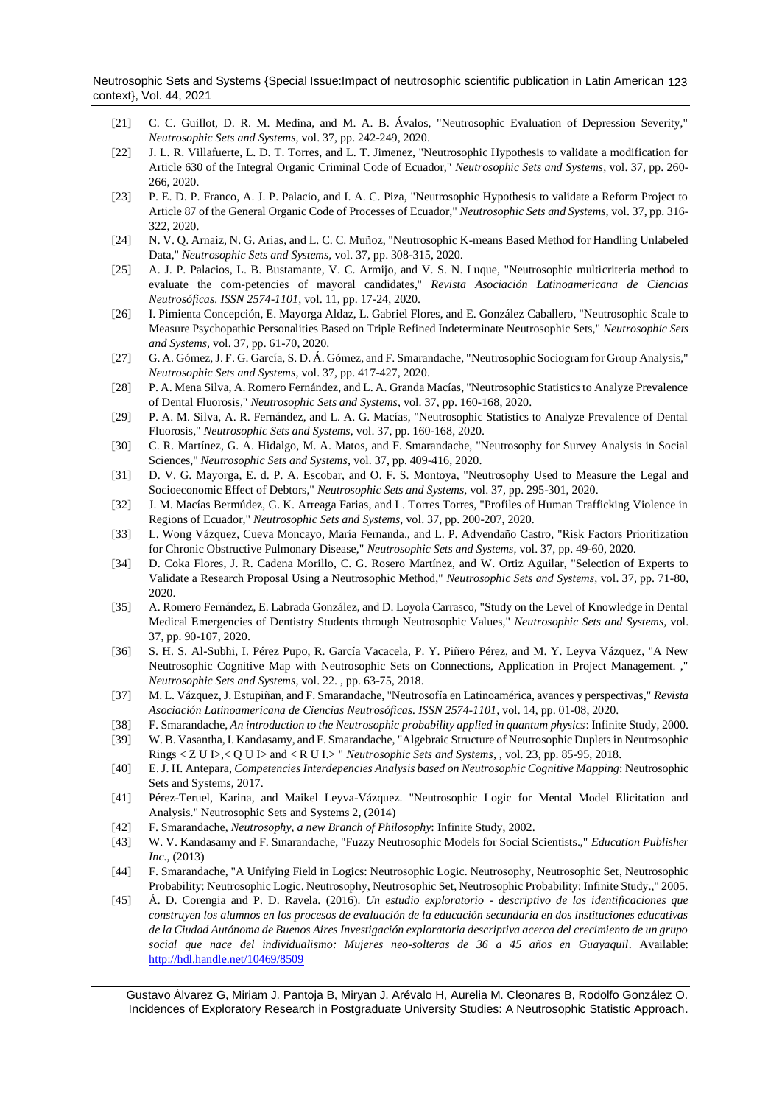Neutrosophic Sets and Systems {Special Issue:Impact of neutrosophic scientific publication in Latin American 123 context}, Vol. 44, 2021

- [21] C. C. Guillot, D. R. M. Medina, and M. A. B. Ávalos, "Neutrosophic Evaluation of Depression Severity," *Neutrosophic Sets and Systems,* vol. 37, pp. 242-249, 2020.
- [22] J. L. R. Villafuerte, L. D. T. Torres, and L. T. Jimenez, "Neutrosophic Hypothesis to validate a modification for Article 630 of the Integral Organic Criminal Code of Ecuador," *Neutrosophic Sets and Systems,* vol. 37, pp. 260- 266, 2020.
- [23] P. E. D. P. Franco, A. J. P. Palacio, and I. A. C. Piza, "Neutrosophic Hypothesis to validate a Reform Project to Article 87 of the General Organic Code of Processes of Ecuador," *Neutrosophic Sets and Systems,* vol. 37, pp. 316- 322, 2020.
- [24] N. V. Q. Arnaiz, N. G. Arias, and L. C. C. Muñoz, "Neutrosophic K-means Based Method for Handling Unlabeled Data," *Neutrosophic Sets and Systems,* vol. 37, pp. 308-315, 2020.
- [25] A. J. P. Palacios, L. B. Bustamante, V. C. Armijo, and V. S. N. Luque, "Neutrosophic multicriteria method to evaluate the com-petencies of mayoral candidates," *Revista Asociación Latinoamericana de Ciencias Neutrosóficas. ISSN 2574-1101,* vol. 11, pp. 17-24, 2020.
- [26] I. Pimienta Concepción, E. Mayorga Aldaz, L. Gabriel Flores, and E. González Caballero, "Neutrosophic Scale to Measure Psychopathic Personalities Based on Triple Refined Indeterminate Neutrosophic Sets," *Neutrosophic Sets and Systems,* vol. 37, pp. 61-70, 2020.
- [27] G. A. Gómez, J. F. G. García, S. D. Á. Gómez, and F. Smarandache, "Neutrosophic Sociogram for Group Analysis," *Neutrosophic Sets and Systems,* vol. 37, pp. 417-427, 2020.
- [28] P. A. Mena Silva, A. Romero Fernández, and L. A. Granda Macías, "Neutrosophic Statistics to Analyze Prevalence of Dental Fluorosis," *Neutrosophic Sets and Systems,* vol. 37, pp. 160-168, 2020.
- [29] P. A. M. Silva, A. R. Fernández, and L. A. G. Macías, "Neutrosophic Statistics to Analyze Prevalence of Dental Fluorosis," *Neutrosophic Sets and Systems,* vol. 37, pp. 160-168, 2020.
- [30] C. R. Martínez, G. A. Hidalgo, M. A. Matos, and F. Smarandache, "Neutrosophy for Survey Analysis in Social Sciences," *Neutrosophic Sets and Systems,* vol. 37, pp. 409-416, 2020.
- [31] D. V. G. Mayorga, E. d. P. A. Escobar, and O. F. S. Montoya, "Neutrosophy Used to Measure the Legal and Socioeconomic Effect of Debtors," *Neutrosophic Sets and Systems,* vol. 37, pp. 295-301, 2020.
- [32] J. M. Macías Bermúdez, G. K. Arreaga Farias, and L. Torres Torres, "Profiles of Human Trafficking Violence in Regions of Ecuador," *Neutrosophic Sets and Systems,* vol. 37, pp. 200-207, 2020.
- [33] L. Wong Vázquez, Cueva Moncayo, María Fernanda., and L. P. Advendaño Castro, "Risk Factors Prioritization for Chronic Obstructive Pulmonary Disease," *Neutrosophic Sets and Systems,* vol. 37, pp. 49-60, 2020.
- [34] D. Coka Flores, J. R. Cadena Morillo, C. G. Rosero Martínez, and W. Ortiz Aguilar, "Selection of Experts to Validate a Research Proposal Using a Neutrosophic Method," *Neutrosophic Sets and Systems,* vol. 37, pp. 71-80, 2020.
- [35] A. Romero Fernández, E. Labrada González, and D. Loyola Carrasco, "Study on the Level of Knowledge in Dental Medical Emergencies of Dentistry Students through Neutrosophic Values," *Neutrosophic Sets and Systems,* vol. 37, pp. 90-107, 2020.
- <span id="page-8-0"></span>[36] S. H. S. Al-Subhi, I. Pérez Pupo, R. García Vacacela, P. Y. Piñero Pérez, and M. Y. Leyva Vázquez, "A New Neutrosophic Cognitive Map with Neutrosophic Sets on Connections, Application in Project Management. ," *Neutrosophic Sets and Systems,* vol. 22. , pp. 63-75, 2018.
- <span id="page-8-1"></span>[37] M. L. Vázquez, J. Estupiñan, and F. Smarandache, "Neutrosofía en Latinoamérica, avances y perspectivas," *Revista Asociación Latinoamericana de Ciencias Neutrosóficas. ISSN 2574-1101,* vol. 14, pp. 01-08, 2020.
- <span id="page-8-2"></span>[38] F. Smarandache, *An introduction to the Neutrosophic probability applied in quantum physics*: Infinite Study, 2000.
- <span id="page-8-3"></span>[39] W. B. Vasantha, I. Kandasamy, and F. Smarandache, "Algebraic Structure of Neutrosophic Duplets in Neutrosophic Rings < Z U I>,< Q U I> and < R U I.> " *Neutrosophic Sets and Systems, ,* vol. 23, pp. 85-95, 2018.
- <span id="page-8-4"></span>[40] E. J. H. Antepara, *Competencies Interdepencies Analysis based on Neutrosophic Cognitive Mapping*: Neutrosophic Sets and Systems, 2017.
- <span id="page-8-6"></span><span id="page-8-5"></span>[41] Pérez-Teruel, Karina, and Maikel Leyva-Vázquez. "Neutrosophic Logic for Mental Model Elicitation and Analysis." Neutrosophic Sets and Systems 2, (2014)
- [42] F. Smarandache, *Neutrosophy, a new Branch of Philosophy*: Infinite Study, 2002.
- <span id="page-8-7"></span>[43] W. V. Kandasamy and F. Smarandache, "Fuzzy Neutrosophic Models for Social Scientists.," *Education Publisher Inc.,* (2013)
- <span id="page-8-8"></span>[44] F. Smarandache, "A Unifying Field in Logics: Neutrosophic Logic. Neutrosophy, Neutrosophic Set, Neutrosophic Probability: Neutrosophic Logic. Neutrosophy, Neutrosophic Set, Neutrosophic Probability: Infinite Study.," 2005.
- <span id="page-8-9"></span>[45] Á. D. Corengia and P. D. Ravela. (2016). *Un estudio exploratorio - descriptivo de las identificaciones que construyen los alumnos en los procesos de evaluación de la educación secundaria en dos instituciones educativas de la Ciudad Autónoma de Buenos Aires Investigación exploratoria descriptiva acerca del crecimiento de un grupo social que nace del individualismo: Mujeres neo-solteras de 36 a 45 años en Guayaquil*. Available: <http://hdl.handle.net/10469/8509>